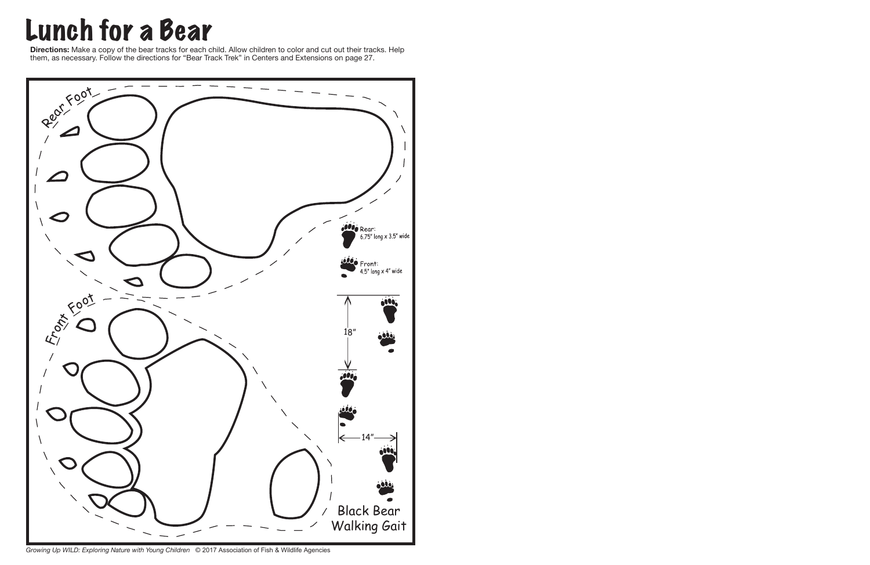## Lunch for a Bear

**Directions:** Make a copy of the bear tracks for each child. Allow children to color and cut out their tracks. Help them, as necessary. Follow the directions for "Bear Track Trek" in Centers and Extensions on page 27.



*Growing Up WILD: Exploring Nature with Young Children* © 2017 Association of Fish & Wildlife Agencies